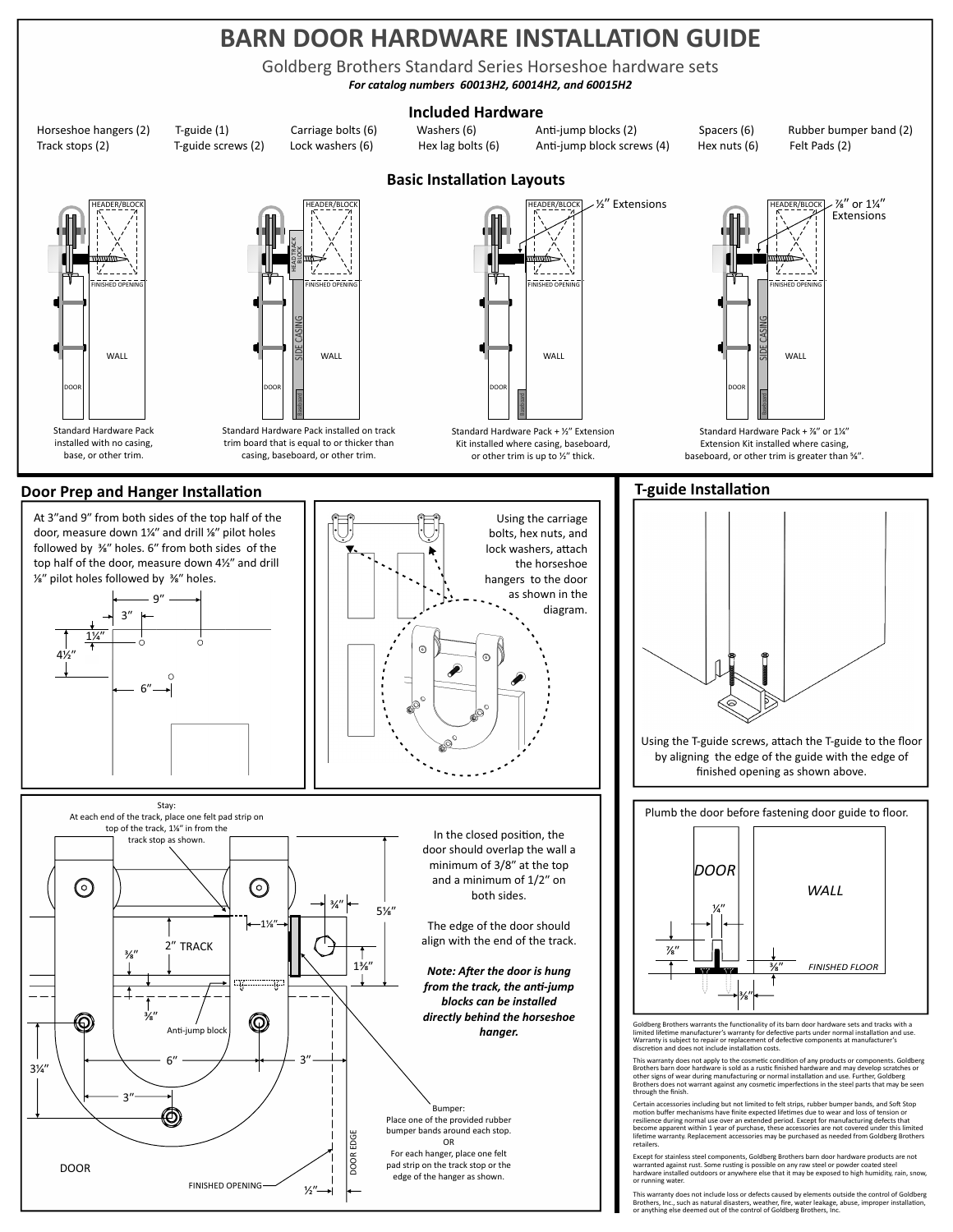### **BARN DOOR HARDWARE INSTALLATION GUIDE**

Goldberg Brothers Standard Series Horseshoe hardware sets

*For catalog numbers 60013H2, 60014H2, and 60015H2*

#### **Included Hardware**

Horseshoe hangers (2) T-guide (1) Carriage bolts (6) Washers (6) Anti-jump blocks (2) Spacers (6) Rubber bumper band (2)<br>Track stops (2) T-guide screws (2) Lock washers (6) Hex lag bolts (6) Anti-jump block screws (4) Hex Track stops (2) T-guide screws (2) Lock washers (6) Hex lag bolts (6) Anti-jump block screws (4) Hex nuts (6)

HEADER/BLOCK FINISHED OPENING WALL DOOR Standard Hardware Pack installed with no casing,

base, or other trim.



Standard Hardware Pack installed on track trim board that is equal to or thicker than casing, baseboard, or other trim.

# ⁄ʺ Extensions HEADER/BLOCK V.  $F_{\text{D}}$ OPEN WALL

Baseboard Standard Hardware Pack + 1/2" Extension Kit installed where casing, baseboard, or other trim is up to  $\frac{1}{2}$ " thick.

DOOR



Extension Kit installed where casing, baseboard, or other trim is greater than %".

### **Door Prep and Hanger Installation**





finished opening as shown above.

Plumb the door before fastening door guide to floor.



Goldberg Brothers warrants the functionality of its barn door hardware sets and tracks with a limited lifetime manufacturer's warranty for defective parts under normal installation and use. Warranty is subject to repair or replacement of defective components at manufacturer's discretion and does not include installation costs.

discretion and does not include installation costs.<br>This warranty does not apply to the cosmetic condition of any products or components. Goldberg<br>Brothers barn door hardware is sold as a rustic finished hardware and may d

Certain accessories including but not limited to felt strips, rubber bumper bands, and Soft Stop<br>emotion buffer mechanisms have finite expected lifetimes due to wear and loss of tension or<br>resilience during normal use over retailers.

Except for stainless steel components, Goldberg Brothers barn door hardware products are not<br>warranted against rust. Some rusting is possible on any raw steel or powder coated steel<br>hardware installed outdoors or anywhere or running water.

This warranty does not include loss or defects caused by elements outside the control of Goldberg<br>Brothers, Inc., such as natural disasters, weather, fire, water leakage, abuse, improper installation,<br>or anything else deem

## **Basic Installation Layouts**